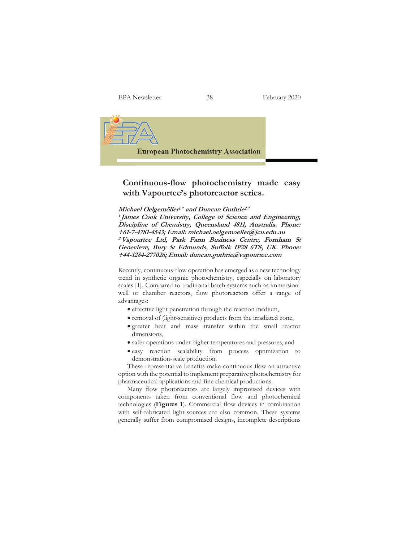EPA Newsletter 38 February 2020



## **Continuous-flow photochemistry made easy with Vapourtec's photoreactor series.**

**Michael Oelgemöller1,\* and Duncan Guthrie2,\***

**<sup>1</sup>James Cook University, College of Science and Engineering, Discipline of Chemistry, Queensland 4811, Australia. Phone: +61-7-4781-4543; Email: michael.oelgemoeller@jcu.edu.au <sup>2</sup>Vapourtec Ltd, Park Farm Business Centre, Fornham St Genevieve, Bury St Edmunds, Suffolk IP28 6TS, UK. Phone: +44-1284-277026; Email: duncan.guthrie@vapourtec.com** 

Recently, continuous-flow operation has emerged as a new technology trend in synthetic organic photochemistry, especially on laboratory scales [1]. Compared to traditional batch systems such as immersionwell or chamber reactors, flow photoreactors offer a range of advantages:

- $\bullet$  effective light penetration through the reaction medium,
- removal of (light-sensitive) products from the irradiated zone,
- x greater heat and mass transfer within the small reactor dimensions,
- safer operations under higher temperatures and pressures, and
- easy reaction scalability from process optimization to demonstration-scale production.

These representative benefits make continuous flow an attractive option with the potential to implement preparative photochemistry for pharmaceutical applications and fine chemical productions.

Many flow photoreactors are largely improvised devices with components taken from conventional flow and photochemical technologies (**Figures 1**). Commercial flow devices in combination with self-fabricated light-sources are also common. These systems generally suffer from compromised designs, incomplete descriptions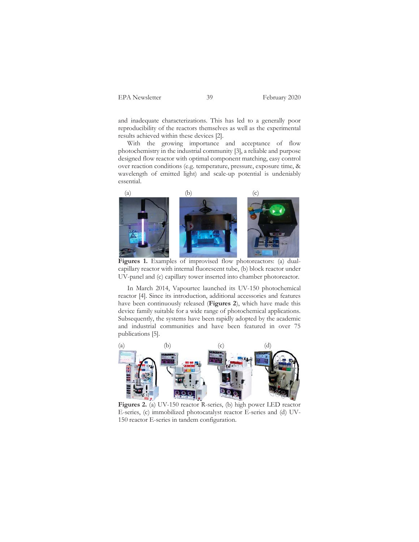and inadequate characterizations. This has led to a generally poor reproducibility of the reactors themselves as well as the experimental results achieved within these devices [2].

With the growing importance and acceptance of flow photochemistry in the industrial community [3], a reliable and purpose designed flow reactor with optimal component matching, easy control over reaction conditions (e.g. temperature, pressure, exposure time, & wavelength of emitted light) and scale-up potential is undeniably essential.



 **Figures 1.** Examples of improvised flow photoreactors: (a) dualcapillary reactor with internal fluorescent tube, (b) block reactor under UV-panel and (c) capillary tower inserted into chamber photoreactor.

In March 2014, Vapourtec launched its UV-150 photochemical reactor [4]. Since its introduction, additional accessories and features have been continuously released (**Figures 2**), which have made this device family suitable for a wide range of photochemical applications. Subsequently, the systems have been rapidly adopted by the academic and industrial communities and have been featured in over 75 publications [5].



 **Figures 2.** (a) UV-150 reactor R-series, (b) high power LED reactor E-series, (c) immobilized photocatalyst reactor E-series and (d) UV-150 reactor E-series in tandem configuration.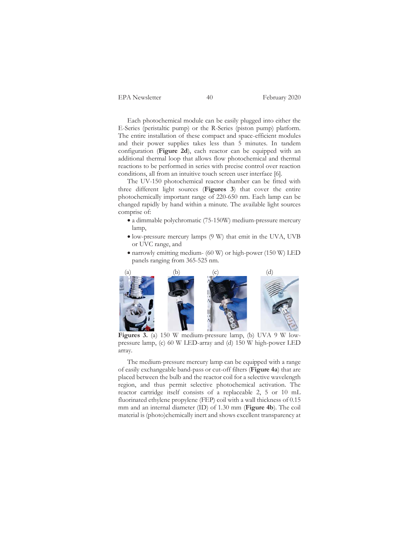EPA Newsletter 40 February 2020

Each photochemical module can be easily plugged into either the E-Series (peristaltic pump) or the R-Series (piston pump) platform. The entire installation of these compact and space-efficient modules and their power supplies takes less than 5 minutes. In tandem configuration (**Figure 2d**), each reactor can be equipped with an additional thermal loop that allows flow photochemical and thermal reactions to be performed in series with precise control over reaction conditions, all from an intuitive touch screen user interface [6].

The UV-150 photochemical reactor chamber can be fitted with three different light sources (**Figures 3**) that cover the entire photochemically important range of 220-650 nm. Each lamp can be changed rapidly by hand within a minute. The available light sources comprise of:

- $\bullet$  a dimmable polychromatic (75-150W) medium-pressure mercury lamp,
- $\bullet$  low-pressure mercury lamps (9 W) that emit in the UVA, UVB or UVC range, and
- $\bullet$  narrowly emitting medium- (60 W) or high-power (150 W) LED panels ranging from 365-525 nm.



 **Figures 3.** (a) 150 W medium-pressure lamp, (b) UVA 9 W lowpressure lamp, (c) 60 W LED-array and (d) 150 W high-power LED array.

The medium-pressure mercury lamp can be equipped with a range of easily exchangeable band-pass or cut-off filters (**Figure 4a**) that are placed between the bulb and the reactor coil for a selective wavelength region, and thus permit selective photochemical activation. The reactor cartridge itself consists of a replaceable 2, 5 or 10 mL fluorinated ethylene propylene (FEP) coil with a wall thickness of 0.15 mm and an internal diameter (ID) of 1.30 mm (**Figure 4b**). The coil material is (photo)chemically inert and shows excellent transparency at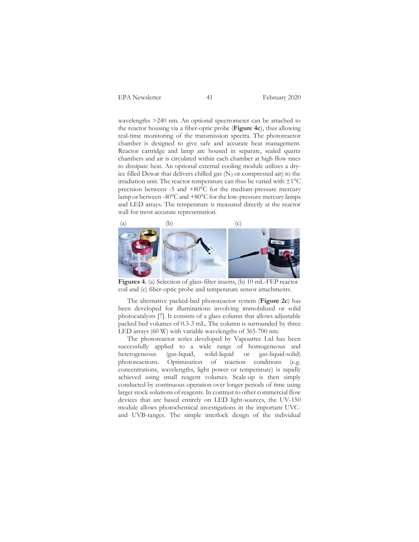EPA Newsletter 41 February 2020

wavelengths >240 nm. An optional spectrometer can be attached to the reactor housing via a fiber-optic probe (**Figure 4c**), thus allowing real-time monitoring of the transmission spectra. The photoreactor chamber is designed to give safe and accurate heat management. Reactor cartridge and lamp are housed in separate, sealed quartz chambers and air is circulated within each chamber at high flow rates to dissipate heat. An optional external cooling module utilizes a dryice filled Dewar that delivers chilled gas  $(N_2 \text{ or compressed air})$  to the irradiation unit. The reactor temperature can thus be varied with  $\pm 1^{\circ}C$ precision between -5 and +80°C for the medium-pressure mercury lamp or between -40 $\rm{^oC}$  and  $+80\rm{^oC}$  for the low-pressure mercury lamps and LED arrays. The temperature is measured directly at the reactor wall for most accurate representation.



 **Figures 4.** (a) Selection of glass-filter inserts, (b) 10 mL-FEP reactor coil and (c) fiber-optic probe and temperature sensor attachments.

The alternative packed-bed photoreactor system (**Figure 2c**) has been developed for illuminations involving immobilized or solid photocatalysts [7]. It consists of a glass column that allows adjustable packed bed volumes of 0.3-3 mL. The column is surrounded by three LED arrays (60 W) with variable wavelengths of 365-700 nm.

The photoreactor series developed by Vapourtec Ltd has been successfully applied to a wide range of homogeneous and heterogeneous (gas-liquid, solid-liquid or gas-liquid-solid) photoreactions. Optimization of reaction conditions (e.g. concentrations, wavelengths, light power or temperature) is rapidly achieved using small reagent volumes. Scale-up is then simply conducted by continuous operation over longer periods of time using larger stock solutions of reagents. In contrast to other commercial flow devices that are based entirely on LED light-sources, the UV-150 module allows photochemical investigations in the important UVCand UVB-ranges. The simple interlock design of the individual